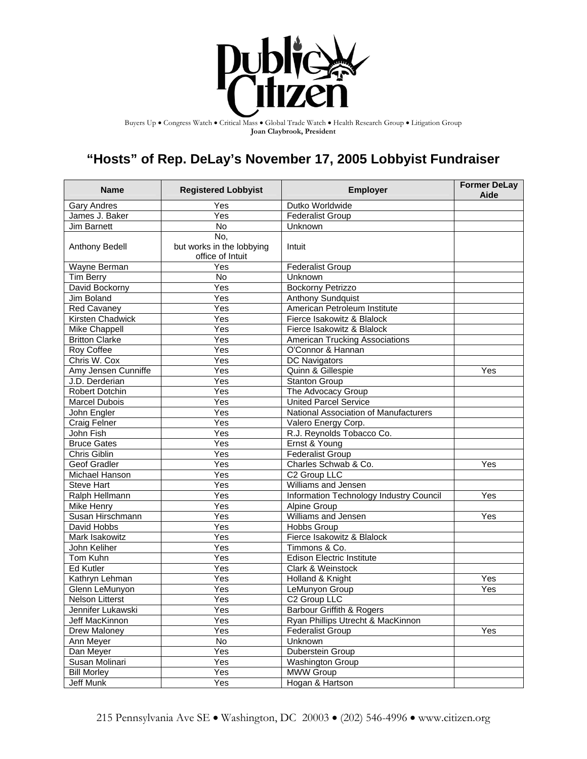

Buyers Up • Congress Watch • Critical Mass • Global Trade Watch • Health Research Group • Litigation Group **Joan Claybrook, President**

## **"Hosts" of Rep. DeLay's November 17, 2005 Lobbyist Fundraiser**

| <b>Name</b>           | <b>Registered Lobbyist</b>                           | <b>Employer</b>                         | <b>Former DeLay</b><br>Aide |
|-----------------------|------------------------------------------------------|-----------------------------------------|-----------------------------|
| <b>Gary Andres</b>    | Yes                                                  | Dutko Worldwide                         |                             |
| James J. Baker        | Yes                                                  | <b>Federalist Group</b>                 |                             |
| <b>Jim Barnett</b>    | No                                                   | Unknown                                 |                             |
| Anthony Bedell        | No,<br>but works in the lobbying<br>office of Intuit | Intuit                                  |                             |
| Wayne Berman          | Yes                                                  | <b>Federalist Group</b>                 |                             |
| Tim Berry             | No                                                   | Unknown                                 |                             |
| David Bockorny        | $\overline{\text{Yes}}$                              | <b>Bockorny Petrizzo</b>                |                             |
| <b>Jim Boland</b>     | Yes                                                  | <b>Anthony Sundquist</b>                |                             |
| Red Cavaney           | Yes                                                  | American Petroleum Institute            |                             |
| Kirsten Chadwick      | $\overline{Y}$ es                                    | Fierce Isakowitz & Blalock              |                             |
| Mike Chappell         | Yes                                                  | Fierce Isakowitz & Blalock              |                             |
| <b>Britton Clarke</b> | Yes                                                  | <b>American Trucking Associations</b>   |                             |
| Roy Coffee            | Yes                                                  | O'Connor & Hannan                       |                             |
| Chris W. Cox          | Yes                                                  | DC Navigators                           |                             |
| Amy Jensen Cunniffe   | $\overline{Y}$ es                                    | Quinn & Gillespie                       | Yes                         |
| J.D. Derderian        | Yes                                                  | Stanton Group                           |                             |
| <b>Robert Dotchin</b> | Yes                                                  | The Advocacy Group                      |                             |
| <b>Marcel Dubois</b>  | Yes                                                  | <b>United Parcel Service</b>            |                             |
| John Engler           | $\overline{Y}$ es                                    | National Association of Manufacturers   |                             |
| Craig Felner          | $\overline{Yes}$                                     | Valero Energy Corp.                     |                             |
| John Fish             | Yes                                                  | R.J. Reynolds Tobacco Co.               |                             |
| <b>Bruce Gates</b>    | $\overline{Yes}$                                     | Ernst & Young                           |                             |
| Chris Giblin          | $\overline{Yes}$                                     | <b>Federalist Group</b>                 |                             |
| <b>Geof Gradler</b>   | $\overline{Yes}$                                     | Charles Schwab & Co.                    | Yes                         |
| Michael Hanson        | Yes                                                  | C <sub>2</sub> Group LLC                |                             |
| <b>Steve Hart</b>     | Yes                                                  | Williams and Jensen                     |                             |
| Ralph Hellmann        | Yes                                                  | Information Technology Industry Council | Yes                         |
| <b>Mike Henry</b>     | $\overline{\text{Yes}}$                              | Alpine Group                            |                             |
| Susan Hirschmann      | Yes                                                  | Williams and Jensen                     | Yes                         |
| David Hobbs           | $\overline{\text{Yes}}$                              | <b>Hobbs Group</b>                      |                             |
| Mark Isakowitz        | Yes                                                  | Fierce Isakowitz & Blalock              |                             |
| John Keliher          | Yes                                                  | Timmons & Co.                           |                             |
| Tom Kuhn              | $\overline{Y}$ es                                    | <b>Edison Electric Institute</b>        |                             |
| <b>Ed Kutler</b>      | Yes                                                  | <b>Clark &amp; Weinstock</b>            |                             |
| Kathryn Lehman        | $\overline{Y}$ es                                    | Holland & Knight                        | Yes                         |
| Glenn LeMunyon        | $\overline{Y}$ es                                    | LeMunyon Group                          | Yes                         |
| Nelson Litterst       | Yes                                                  | C <sub>2</sub> Group LLC                |                             |
| Jennifer Lukawski     | Yes                                                  | <b>Barbour Griffith &amp; Rogers</b>    |                             |
| Jeff MacKinnon        | $\overline{Y}$ es                                    | Ryan Phillips Utrecht & MacKinnon       |                             |
| Drew Maloney          | $\overline{Y}$ es                                    | <b>Federalist Group</b>                 | Yes                         |
| Ann Meyer             | No                                                   | Unknown                                 |                             |
| Dan Meyer             | Yes                                                  | Duberstein Group                        |                             |
| Susan Molinari        | Yes                                                  | <b>Washington Group</b>                 |                             |
| <b>Bill Morley</b>    | $\overline{Y}$ es                                    | <b>MWW Group</b>                        |                             |
| Jeff Munk             | Yes                                                  | Hogan & Hartson                         |                             |